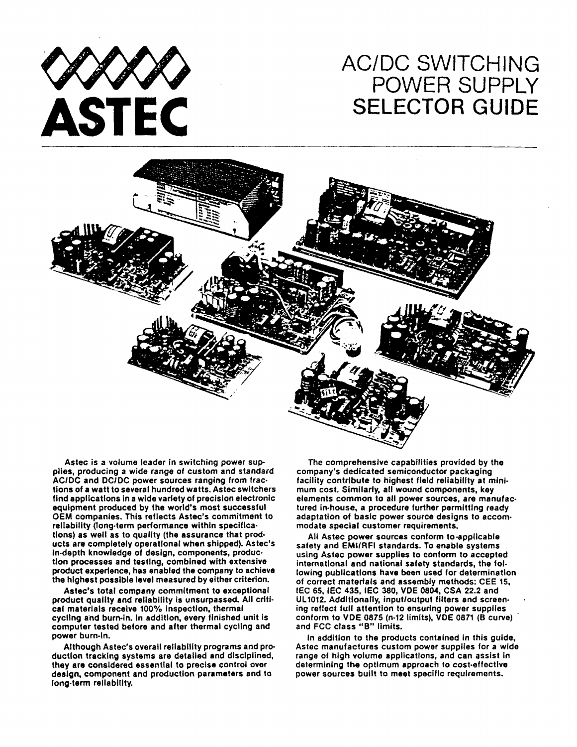

## AC/DC SWITCHING POWER SUPPLY **SELECTOR GUIDE**



Astec is a volume leader in switching power supplies, producing a wide range of custom and standard AC/DC and DC/DC power sources ranging from fractions of a watt to several hundred watts. Astec switchers find applications In a wide variety of precision electronic equipment produced by the world's most successful OEM companies. this reflects Astee's commitment to rellability (long-term performance within specifications) as well as to quality (the assurance that prod· ucts are completely operational when shipped). Astec's In-depth knowledge of design. components, production processes and testing. combined with extensive product experience. has enabled the company to achieve the highest possible level measured by either criterion.

Astec's total company commitment to exceptional product quality and reliability is unsurpassed. All critical materials receive 100% Inspection. thermal cycling and burn-in. In addition, every finished unit is computer tested before and after thermal cycling and power burn-In.

Although Astee's overall reliability programs and production tracking systems are detailed and disciplined, they are considered essential to precise control over design. component and production parameters and to long·term reliability.

The eomprehenslve capabilities provided by the company's dedicated semiconductor packaging facility contribute to highest field reliability at minimum cost. Similariy. all wound components, key elements common to all power sources, are manulac· tured in-house, a procedure further permitting ready adaptation of basic power source designs to accom· modate special customer requirements.

All Astec power sources conform to applicable safety and EMI/RFI standards. To enable systems using Astee power supplies to conform to accepted international and national safety standards, the following publications have been used for determination of correct materials and assembly methods: CEE 15, IEC 65, IEC 435, IEC 380, VDE 0804, CSA 22.2 and UL 1012. Additionally. input/output filters and screen· ing reflect full attention to ensuring power supplies conform to VDE 0875 (n-12 limits). VDE 0871 (B curve) and FCC class "B" limits.

In addition to the products contained in this guide, Astec manufactures custom power supplies for a wide range of high volume applications, and can assist in determining the optimum approach to cost-effective power sources built to meet specific requirements.